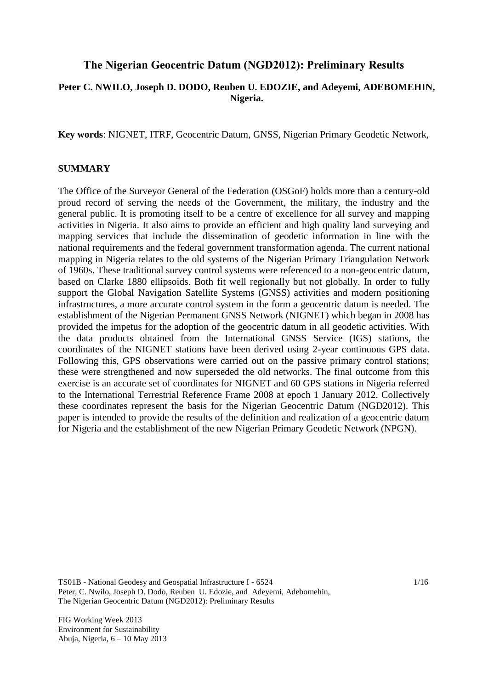## **The Nigerian Geocentric Datum (NGD2012): Preliminary Results**

## **Peter C. NWILO, Joseph D. DODO, Reuben U. EDOZIE, and Adeyemi, ADEBOMEHIN, Nigeria.**

**Key words**: NIGNET, ITRF, Geocentric Datum, GNSS, Nigerian Primary Geodetic Network,

### **SUMMARY**

The Office of the Surveyor General of the Federation (OSGoF) holds more than a century-old proud record of serving the needs of the Government, the military, the industry and the general public. It is promoting itself to be a centre of excellence for all survey and mapping activities in Nigeria. It also aims to provide an efficient and high quality land surveying and mapping services that include the dissemination of geodetic information in line with the national requirements and the federal government transformation agenda. The current national mapping in Nigeria relates to the old systems of the Nigerian Primary Triangulation Network of 1960s. These traditional survey control systems were referenced to a non-geocentric datum, based on Clarke 1880 ellipsoids. Both fit well regionally but not globally. In order to fully support the Global Navigation Satellite Systems (GNSS) activities and modern positioning infrastructures, a more accurate control system in the form a geocentric datum is needed. The establishment of the Nigerian Permanent GNSS Network (NIGNET) which began in 2008 has provided the impetus for the adoption of the geocentric datum in all geodetic activities. With the data products obtained from the International GNSS Service (IGS) stations, the coordinates of the NIGNET stations have been derived using 2-year continuous GPS data. Following this, GPS observations were carried out on the passive primary control stations; these were strengthened and now superseded the old networks. The final outcome from this exercise is an accurate set of coordinates for NIGNET and 60 GPS stations in Nigeria referred to the International Terrestrial Reference Frame 2008 at epoch 1 January 2012. Collectively these coordinates represent the basis for the Nigerian Geocentric Datum (NGD2012). This paper is intended to provide the results of the definition and realization of a geocentric datum for Nigeria and the establishment of the new Nigerian Primary Geodetic Network (NPGN).

TS01B - National Geodesy and Geospatial Infrastructure I - 6524 Peter, C. Nwilo, Joseph D. Dodo, Reuben U. Edozie, and Adeyemi, Adebomehin, The Nigerian Geocentric Datum (NGD2012): Preliminary Results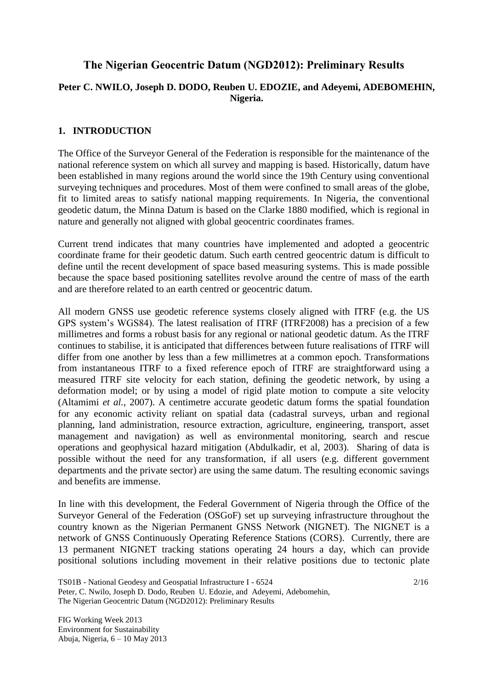# **The Nigerian Geocentric Datum (NGD2012): Preliminary Results**

## **Peter C. NWILO, Joseph D. DODO, Reuben U. EDOZIE, and Adeyemi, ADEBOMEHIN, Nigeria.**

### **1. INTRODUCTION**

The Office of the Surveyor General of the Federation is responsible for the maintenance of the national reference system on which all survey and mapping is based. Historically, datum have been established in many regions around the world since the 19th Century using conventional surveying techniques and procedures. Most of them were confined to small areas of the globe, fit to limited areas to satisfy national mapping requirements. In Nigeria, the conventional geodetic datum, the Minna Datum is based on the Clarke 1880 modified, which is regional in nature and generally not aligned with global geocentric coordinates frames.

Current trend indicates that many countries have implemented and adopted a geocentric coordinate frame for their geodetic datum. Such earth centred geocentric datum is difficult to define until the recent development of space based measuring systems. This is made possible because the space based positioning satellites revolve around the centre of mass of the earth and are therefore related to an earth centred or geocentric datum.

All modern GNSS use geodetic reference systems closely aligned with ITRF (e.g. the US GPS system's WGS84). The latest realisation of ITRF (ITRF2008) has a precision of a few millimetres and forms a robust basis for any regional or national geodetic datum. As the ITRF continues to stabilise, it is anticipated that differences between future realisations of ITRF will differ from one another by less than a few millimetres at a common epoch. Transformations from instantaneous ITRF to a fixed reference epoch of ITRF are straightforward using a measured ITRF site velocity for each station, defining the geodetic network, by using a deformation model; or by using a model of rigid plate motion to compute a site velocity (Altamimi *et al.*, 2007). A centimetre accurate geodetic datum forms the spatial foundation for any economic activity reliant on spatial data (cadastral surveys, urban and regional planning, land administration, resource extraction, agriculture, engineering, transport, asset management and navigation) as well as environmental monitoring, search and rescue operations and geophysical hazard mitigation (Abdulkadir, et al, 2003). Sharing of data is possible without the need for any transformation, if all users (e.g. different government departments and the private sector) are using the same datum. The resulting economic savings and benefits are immense.

In line with this development, the Federal Government of Nigeria through the Office of the Surveyor General of the Federation (OSGoF) set up surveying infrastructure throughout the country known as the Nigerian Permanent GNSS Network (NIGNET). The NIGNET is a network of GNSS Continuously Operating Reference Stations (CORS). Currently, there are 13 permanent NIGNET tracking stations operating 24 hours a day, which can provide positional solutions including movement in their relative positions due to tectonic plate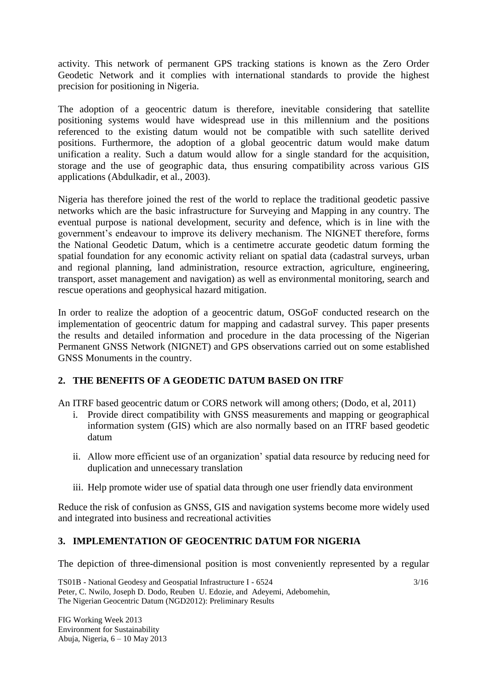activity. This network of permanent GPS tracking stations is known as the Zero Order Geodetic Network and it complies with international standards to provide the highest precision for positioning in Nigeria.

The adoption of a geocentric datum is therefore, inevitable considering that satellite positioning systems would have widespread use in this millennium and the positions referenced to the existing datum would not be compatible with such satellite derived positions. Furthermore, the adoption of a global geocentric datum would make datum unification a reality. Such a datum would allow for a single standard for the acquisition, storage and the use of geographic data, thus ensuring compatibility across various GIS applications (Abdulkadir, et al., 2003).

Nigeria has therefore joined the rest of the world to replace the traditional geodetic passive networks which are the basic infrastructure for Surveying and Mapping in any country. The eventual purpose is national development, security and defence, which is in line with the government's endeavour to improve its delivery mechanism. The NIGNET therefore, forms the National Geodetic Datum, which is a centimetre accurate geodetic datum forming the spatial foundation for any economic activity reliant on spatial data (cadastral surveys, urban and regional planning, land administration, resource extraction, agriculture, engineering, transport, asset management and navigation) as well as environmental monitoring, search and rescue operations and geophysical hazard mitigation.

In order to realize the adoption of a geocentric datum, OSGoF conducted research on the implementation of geocentric datum for mapping and cadastral survey. This paper presents the results and detailed information and procedure in the data processing of the Nigerian Permanent GNSS Network (NIGNET) and GPS observations carried out on some established GNSS Monuments in the country.

## **2. THE BENEFITS OF A GEODETIC DATUM BASED ON ITRF**

An ITRF based geocentric datum or CORS network will among others; (Dodo, et al, 2011)

- i. Provide direct compatibility with GNSS measurements and mapping or geographical information system (GIS) which are also normally based on an ITRF based geodetic datum
- ii. Allow more efficient use of an organization' spatial data resource by reducing need for duplication and unnecessary translation
- iii. Help promote wider use of spatial data through one user friendly data environment

Reduce the risk of confusion as GNSS, GIS and navigation systems become more widely used and integrated into business and recreational activities

# **3. IMPLEMENTATION OF GEOCENTRIC DATUM FOR NIGERIA**

The depiction of three-dimensional position is most conveniently represented by a regular

TS01B - National Geodesy and Geospatial Infrastructure I - 6524 Peter, C. Nwilo, Joseph D. Dodo, Reuben U. Edozie, and Adeyemi, Adebomehin, The Nigerian Geocentric Datum (NGD2012): Preliminary Results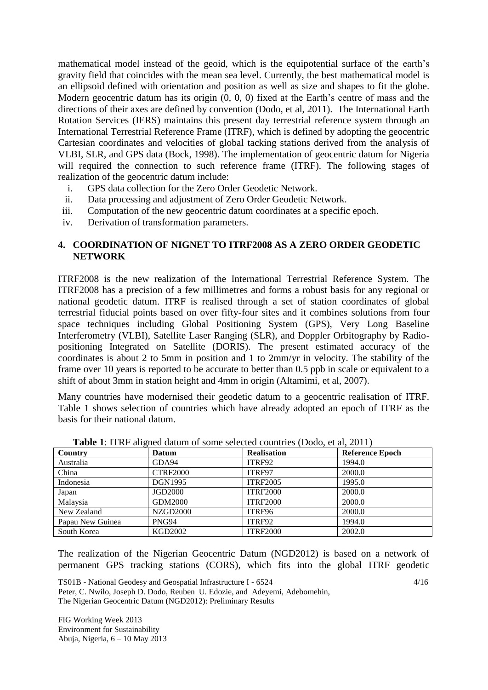mathematical model instead of the geoid, which is the equipotential surface of the earth's gravity field that coincides with the mean sea level. Currently, the best mathematical model is an ellipsoid defined with orientation and position as well as size and shapes to fit the globe. Modern geocentric datum has its origin (0, 0, 0) fixed at the Earth's centre of mass and the directions of their axes are defined by convention (Dodo, et al, 2011). The International Earth Rotation Services (IERS) maintains this present day terrestrial reference system through an International Terrestrial Reference Frame (ITRF), which is defined by adopting the geocentric Cartesian coordinates and velocities of global tacking stations derived from the analysis of VLBI, SLR, and GPS data (Bock, 1998). The implementation of geocentric datum for Nigeria will required the connection to such reference frame (ITRF). The following stages of realization of the geocentric datum include:

- i. GPS data collection for the Zero Order Geodetic Network.
- ii. Data processing and adjustment of Zero Order Geodetic Network.
- iii. Computation of the new geocentric datum coordinates at a specific epoch.
- iv. Derivation of transformation parameters.

### **4. COORDINATION OF NIGNET TO ITRF2008 AS A ZERO ORDER GEODETIC NETWORK**

ITRF2008 is the new realization of the International Terrestrial Reference System. The ITRF2008 has a precision of a few millimetres and forms a robust basis for any regional or national geodetic datum. ITRF is realised through a set of station coordinates of global terrestrial fiducial points based on over fifty-four sites and it combines solutions from four space techniques including Global Positioning System (GPS), Very Long Baseline Interferometry (VLBI), Satellite Laser Ranging (SLR), and Doppler Orbitography by Radiopositioning Integrated on Satellite (DORIS). The present estimated accuracy of the coordinates is about 2 to 5mm in position and 1 to 2mm/yr in velocity. The stability of the frame over 10 years is reported to be accurate to better than 0.5 ppb in scale or equivalent to a shift of about 3mm in station height and 4mm in origin (Altamimi, et al, 2007).

Many countries have modernised their geodetic datum to a geocentric realisation of ITRF. Table 1 shows selection of countries which have already adopted an epoch of ITRF as the basis for their national datum.

| Country          | Datum           | <b>Realisation</b> | <b>Reference Epoch</b> |
|------------------|-----------------|--------------------|------------------------|
| Australia        | GDA94           | ITRF92             | 1994.0                 |
| China            | <b>CTRF2000</b> | ITRF97             | 2000.0                 |
| Indonesia        | <b>DGN1995</b>  | <b>ITRF2005</b>    | 1995.0                 |
| Japan            | JGD2000         | <b>ITRF2000</b>    | 2000.0                 |
| Malaysia         | GDM2000         | <b>ITRF2000</b>    | 2000.0                 |
| New Zealand      | <b>NZGD2000</b> | ITRF96             | 2000.0                 |
| Papau New Guinea | PNG94           | ITRF92             | 1994.0                 |
| South Korea      | <b>KGD2002</b>  | <b>ITRF2000</b>    | 2002.0                 |

**Table 1**: ITRF aligned datum of some selected countries (Dodo, et al, 2011)

The realization of the Nigerian Geocentric Datum (NGD2012) is based on a network of permanent GPS tracking stations (CORS), which fits into the global ITRF geodetic

TS01B - National Geodesy and Geospatial Infrastructure I - 6524 Peter, C. Nwilo, Joseph D. Dodo, Reuben U. Edozie, and Adeyemi, Adebomehin, The Nigerian Geocentric Datum (NGD2012): Preliminary Results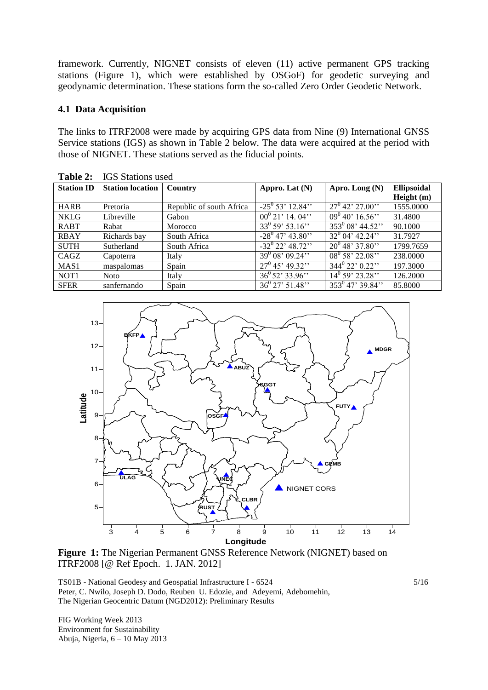framework. Currently, NIGNET consists of eleven (11) active permanent GPS tracking stations (Figure 1), which were established by OSGoF) for geodetic surveying and geodynamic determination. These stations form the so-called Zero Order Geodetic Network.

### **4.1 Data Acquisition**

The links to ITRF2008 were made by acquiring GPS data from Nine (9) International GNSS Service stations (IGS) as shown in Table 2 below. The data were acquired at the period with those of NIGNET. These stations served as the fiducial points.

| <b>Station ID</b> | <b>Station location</b> | Country                  | Appro. Lat (N)          | Apro. Long (N)                | <b>Ellipsoidal</b> |
|-------------------|-------------------------|--------------------------|-------------------------|-------------------------------|--------------------|
|                   |                         |                          |                         |                               |                    |
|                   |                         |                          |                         |                               | Height (m)         |
| <b>HARB</b>       | Pretoria                | Republic of south Africa | $-25^{0}$ 53' 12.84"    | $27^0$ 42' 27.00"             | 1555.0000          |
| <b>NKLG</b>       | Libreville              | Gabon                    | $00^{0}$ 21' 14. 04''   | $09^{0}$ 40' 16.56"           | 31.4800            |
| <b>RABT</b>       | Rabat                   | Morocco                  | $33^0 59' 53.16''$      | $\frac{1}{353^{0}08'}$ 44.52" | 90.1000            |
| <b>RBAY</b>       | Richards bay            | South Africa             | $-28^0$ 47' 43.80"      | $32^{0}$ 04' 42.24''          | 31.7927            |
| <b>SUTH</b>       | Sutherland              | South Africa             | $-32^0$ 22' 48.72"      | $20^0$ 48' 37.80"             | 1799.7659          |
| CAGZ              | Capoterra               | Italy                    | $39^{0}$ 08' 09.24''    | $08^0 58' 22.08''$            | 238.0000           |
| MAS <sub>1</sub>  | maspalomas              | Spain                    | $27^0$ 45' 49.32"       | $344^{\circ} 22' 0.22''$      | 197.3000           |
| NOT <sub>1</sub>  | <b>Noto</b>             | Italy                    | $36^0 52' 33.96''$      | $14^0$ 59' 23.28"             | 126.2000           |
| <b>SFER</b>       | sanfernando             | Spain                    | $36^{\circ}$ 27' 51.48" | $353^0$ 47' 39.84''           | 85.8000            |

**Table 2:** IGS Stations used



**Figure 1:** The Nigerian Permanent GNSS Reference Network (NIGNET) based on ITRF2008 [@ Ref Epoch. 1. JAN. 2012]

TS01B - National Geodesy and Geospatial Infrastructure I - 6524 Peter, C. Nwilo, Joseph D. Dodo, Reuben U. Edozie, and Adeyemi, Adebomehin, The Nigerian Geocentric Datum (NGD2012): Preliminary Results

FIG Working Week 2013 Environment for Sustainability Abuja, Nigeria, 6 – 10 May 2013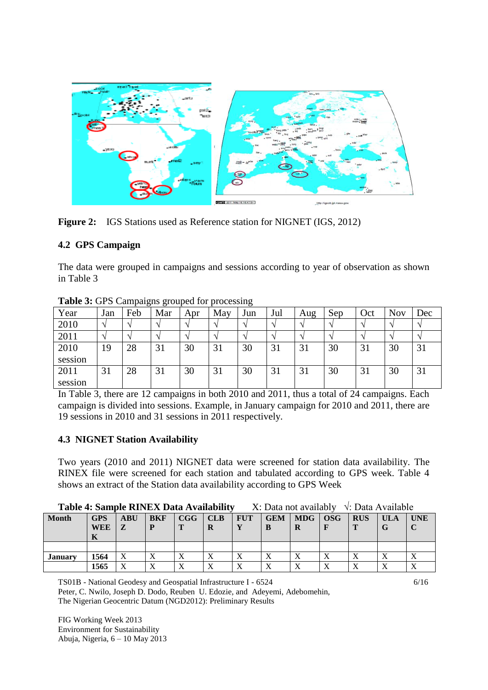

**Figure 2:** IGS Stations used as Reference station for NIGNET (IGS, 2012)

### **4.2 GPS Campaign**

The data were grouped in campaigns and sessions according to year of observation as shown in Table 3

|         |     |     |     |     | $P^{\texttt{1}}$ |                    |     |     |     |     |            |     |
|---------|-----|-----|-----|-----|------------------|--------------------|-----|-----|-----|-----|------------|-----|
| Year    | Jan | Feb | Mar | Apr | May              | Jun                | Jul | Aug | Sep | Oct | <b>Nov</b> | Dec |
| 2010    |     |     |     |     |                  |                    |     |     |     |     |            |     |
| 2011    |     |     |     |     |                  | $\mathbf{\Lambda}$ |     |     |     |     |            |     |
| 2010    | 19  | 28  | 31  | 30  | 31               | 30                 | 31  | 31  | 30  | 31  | 30         | 31  |
| session |     |     |     |     |                  |                    |     |     |     |     |            |     |
| 2011    | 31  | 28  | 31  | 30  | 31               | 30                 | 31  | 31  | 30  | 31  | 30         | 31  |
| session |     |     |     |     |                  |                    |     |     |     |     |            |     |

**Table 3:** GPS Campaigns grouped for processing

In Table 3, there are 12 campaigns in both 2010 and 2011, thus a total of 24 campaigns. Each campaign is divided into sessions. Example, in January campaign for 2010 and 2011, there are 19 sessions in 2010 and 31 sessions in 2011 respectively.

### **4.3 NIGNET Station Availability**

Two years (2010 and 2011) NIGNET data were screened for station data availability. The RINEX file were screened for each station and tabulated according to GPS week. Table 4 shows an extract of the Station data availability according to GPS Week

| Table 4: Sample RINEX Data Availability | $X: Data not availability \quad \sqrt{X}: Data Available$ |  |
|-----------------------------------------|-----------------------------------------------------------|--|
|-----------------------------------------|-----------------------------------------------------------|--|

| <b>Month</b>   | ----<br><b>GPS</b><br>WEE<br>V | <b>ABU</b><br>$\mathbf{z}$ | <b>BKF</b>               | CGG               | <b>CLB</b><br>R | <b>FUT</b> | <b>GEM</b><br>B | <b>MDG</b><br>R | <b>OSG</b> | <b>RUS</b> | ULA<br>lт | <b>UNE</b>   |
|----------------|--------------------------------|----------------------------|--------------------------|-------------------|-----------------|------------|-----------------|-----------------|------------|------------|-----------|--------------|
|                |                                |                            |                          |                   |                 |            |                 |                 |            |            |           |              |
| <b>January</b> | 1564                           | $\mathbf{v}$               | T.<br>$\Lambda$          | $\Lambda$         | $\Lambda$       |            | T.<br>Δ         | v 7<br>л        |            |            |           |              |
|                | 1565                           | $\mathbf{v}$               | $\mathbf{v}$<br>$\Delta$ | $\mathbf{v}$<br>△ | $\Lambda$       |            | $\mathbf{v}$    | $\mathbf{v}$    |            |            |           | $\mathbf{v}$ |

TS01B - National Geodesy and Geospatial Infrastructure I - 6524 Peter, C. Nwilo, Joseph D. Dodo, Reuben U. Edozie, and Adeyemi, Adebomehin, The Nigerian Geocentric Datum (NGD2012): Preliminary Results

FIG Working Week 2013 Environment for Sustainability Abuja, Nigeria, 6 – 10 May 2013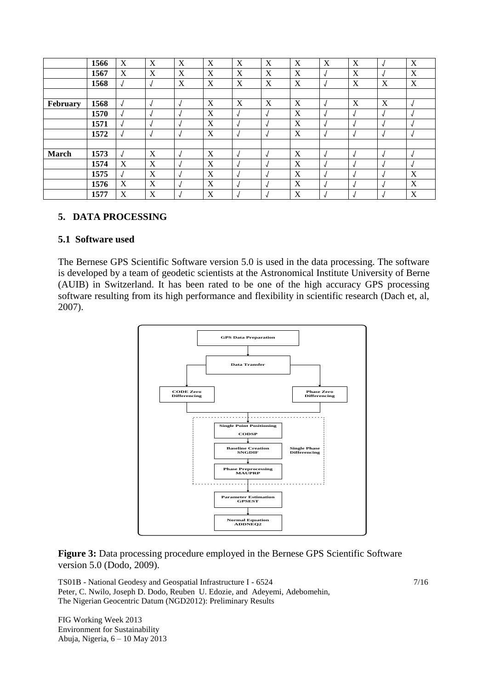|              | 1566 | X | X        | X | X | X | X       | X | X | X | $\overline{\mathbf{u}}$  | X        |
|--------------|------|---|----------|---|---|---|---------|---|---|---|--------------------------|----------|
|              | 1567 | X | X        | X | X | X | X       | X |   | X |                          | X        |
|              | 1568 |   | <b>v</b> | X | X | X | X       | X |   | X | X                        | X        |
|              |      |   |          |   |   |   |         |   |   |   |                          |          |
| February     | 1568 |   | N        |   | X | X | X       | X |   | X | X                        | √        |
|              | 1570 |   | п.       |   | X |   |         | X |   |   | $\mathbf{u}$             | J        |
|              | 1571 |   |          |   | X |   |         | X |   |   |                          | N        |
|              | 1572 |   | N        |   | X |   | $\cdot$ | X |   |   | $\mathbf{u}$             | √        |
|              |      |   |          |   |   |   |         |   |   |   |                          |          |
| <b>March</b> | 1573 |   | X        |   | X |   |         | X |   |   |                          | N        |
|              | 1574 | X | X        |   | X |   |         | X |   |   | $\overline{\phantom{a}}$ | <b>v</b> |
|              | 1575 |   | X        |   | X |   |         | X |   |   |                          | X        |
|              | 1576 | X | X        |   | X |   |         | X |   |   | $\overline{\phantom{a}}$ | X        |
|              | 1577 | X | X        |   | X |   |         | X |   |   |                          | X        |

### **5. DATA PROCESSING**

#### **5.1 Software used**

The Bernese GPS Scientific Software version 5.0 is used in the data processing. The software is developed by a team of geodetic scientists at the Astronomical Institute University of Berne (AUIB) in Switzerland. It has been rated to be one of the high accuracy GPS processing software resulting from its high performance and flexibility in scientific research (Dach et, al, 2007).



**Figure 3:** Data processing procedure employed in the Bernese GPS Scientific Software version 5.0 (Dodo, 2009).

TS01B - National Geodesy and Geospatial Infrastructure I - 6524 Peter, C. Nwilo, Joseph D. Dodo, Reuben U. Edozie, and Adeyemi, Adebomehin, The Nigerian Geocentric Datum (NGD2012): Preliminary Results

FIG Working Week 2013 Environment for Sustainability Abuja, Nigeria, 6 – 10 May 2013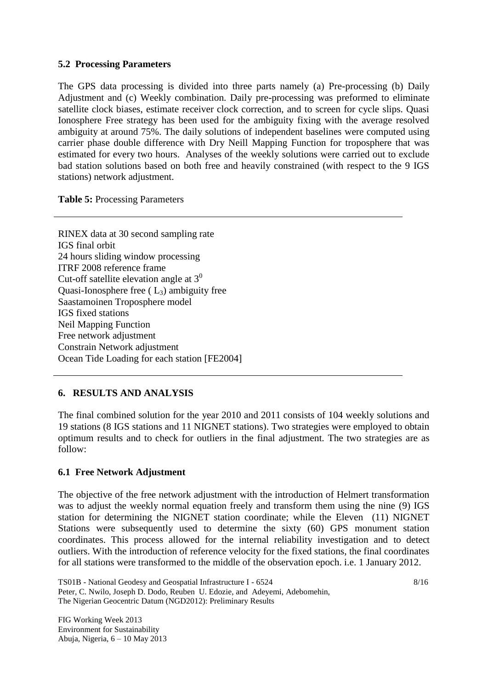### **5.2 Processing Parameters**

The GPS data processing is divided into three parts namely (a) Pre-processing (b) Daily Adjustment and (c) Weekly combination. Daily pre-processing was preformed to eliminate satellite clock biases, estimate receiver clock correction, and to screen for cycle slips. Quasi Ionosphere Free strategy has been used for the ambiguity fixing with the average resolved ambiguity at around 75%. The daily solutions of independent baselines were computed using carrier phase double difference with Dry Neill Mapping Function for troposphere that was estimated for every two hours. Analyses of the weekly solutions were carried out to exclude bad station solutions based on both free and heavily constrained (with respect to the 9 IGS stations) network adjustment.

**Table 5:** Processing Parameters

RINEX data at 30 second sampling rate IGS final orbit 24 hours sliding window processing ITRF 2008 reference frame Cut-off satellite elevation angle at  $3<sup>0</sup>$ Quasi-Ionosphere free  $(L_3)$  ambiguity free Saastamoinen Troposphere model IGS fixed stations Neil Mapping Function Free network adjustment Constrain Network adjustment Ocean Tide Loading for each station [FE2004]

## **6. RESULTS AND ANALYSIS**

The final combined solution for the year 2010 and 2011 consists of 104 weekly solutions and 19 stations (8 IGS stations and 11 NIGNET stations). Two strategies were employed to obtain optimum results and to check for outliers in the final adjustment. The two strategies are as follow:

## **6.1 Free Network Adjustment**

The objective of the free network adjustment with the introduction of Helmert transformation was to adjust the weekly normal equation freely and transform them using the nine (9) IGS station for determining the NIGNET station coordinate; while the Eleven (11) NIGNET Stations were subsequently used to determine the sixty (60) GPS monument station coordinates. This process allowed for the internal reliability investigation and to detect outliers. With the introduction of reference velocity for the fixed stations, the final coordinates for all stations were transformed to the middle of the observation epoch. i.e. 1 January 2012.

TS01B - National Geodesy and Geospatial Infrastructure I - 6524 Peter, C. Nwilo, Joseph D. Dodo, Reuben U. Edozie, and Adeyemi, Adebomehin, The Nigerian Geocentric Datum (NGD2012): Preliminary Results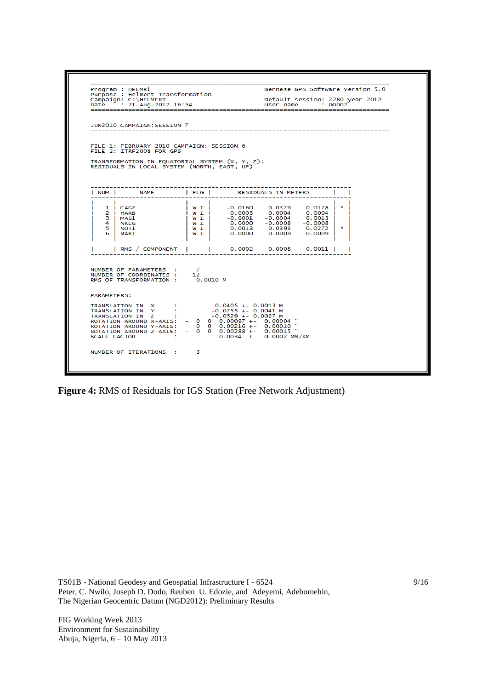=============================<br>Program : HELMR1<br>Purpose : Helmert Transformation<br>Campaign: C:\HELMERT<br>Date : 21-Aug-2012 16:54 Bernese GPS Software Version 5.0 Default session: 2280 year 2012<br>User name : DODO2 1UN2010 CAMPATGN: SESSTON 7 --------------------------------------FILE 1: FEBRUARY 2010 CAMPAIGN: SESSION 6<br>FILE 2: ITRF2008 FOR GPS TRANSFORMATION IN EQUATORIAL SYSTEM (X, Y, Z):<br>RESIDUALS IN LOCAL SYSTEM (NORTH, EAST, UP) I NUM I  $|$  FLG  $|$ RESIDUALS IN METERS **NAME** т Ī  $-0.0160  
\n0.0003  
\n-0.0001  
\n0.0000  
\n0.0013  
\n0.0000$  $0.0379$ <br>0.0004<br>-0.0004<br>-0.0008<br>0.0393<br>0.0009  $0.0178$ <br>0.0004<br>0.0013<br>-0.0008<br>0.0272 N<br>N<br>N<br>N<br>N<br>T<br>T  $\mathbf{R}$ **CAGZ**<br>HARB  $\frac{1}{2}$ MAS1<br>NKLG<br>NOT1  $3456$ k.  $-0.0009$ **RABT** T RMS / COMPONENT  $\overline{\phantom{a}}$  $0.0002$  $0.0008$  $0.0011$ Ï Ï T NUMBER OF PARAMETERS :<br>NUMBER OF COORDINATES :<br>RMS OF TRANSFORMATION :  $\begin{smallmatrix}7\12\0.0010 M\end{smallmatrix}$ PARAMETERS: TRANSLATION IN X<br>
TRANSLATION IN Y :<br>
TRANSLATION IN Z :<br>
ROTATION AROUND X-AXIS:<br>
ROTATION AROUND Y-AXIS:<br>
ROTATION AROUND Y-AXIS:<br>
ROTATION AROUND Z-AXIS:<br>
SCALE FACTOR :  $\begin{array}{cccc} 0.0405 ~+-~ 0.0013~{\rm M} \\ -0.0755 ~+-~ 0.0041~{\rm M} \\ -0.0529 ~+-~ 0.0027~{\rm M} \\ 0 ~& 0.00097 ~+-~ ~0.00004 ~~{\rm''} \\ 0 ~& 0.00216 ~+-~ ~0.00010 ~~{\rm''} \\ 0 ~& 0.00288 ~+-~ ~0.00015 ~~{\rm''} \\ -0.0034 ~+ -~ ~0.0002~{\rm MM/KM} \end{array}$  $\begin{smallmatrix}0\0\0\end{smallmatrix}$ NUMBER OF ITERATIONS : 3

**Figure 4:** RMS of Residuals for IGS Station (Free Network Adjustment)

TS01B - National Geodesy and Geospatial Infrastructure I - 6524 Peter, C. Nwilo, Joseph D. Dodo, Reuben U. Edozie, and Adeyemi, Adebomehin, The Nigerian Geocentric Datum (NGD2012): Preliminary Results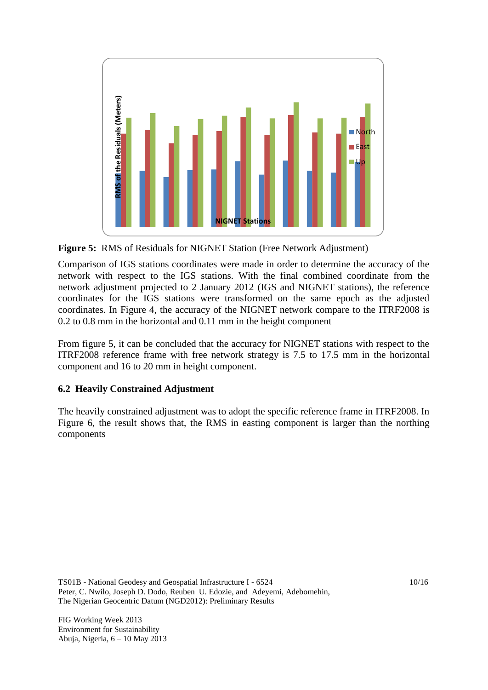

**Figure 5:** RMS of Residuals for NIGNET Station (Free Network Adjustment)

Comparison of IGS stations coordinates were made in order to determine the accuracy of the network with respect to the IGS stations. With the final combined coordinate from the network adjustment projected to 2 January 2012 (IGS and NIGNET stations), the reference coordinates for the IGS stations were transformed on the same epoch as the adjusted coordinates. In Figure 4, the accuracy of the NIGNET network compare to the ITRF2008 is 0.2 to 0.8 mm in the horizontal and 0.11 mm in the height component

From figure 5, it can be concluded that the accuracy for NIGNET stations with respect to the ITRF2008 reference frame with free network strategy is 7.5 to 17.5 mm in the horizontal component and 16 to 20 mm in height component.

## **6.2 Heavily Constrained Adjustment**

The heavily constrained adjustment was to adopt the specific reference frame in ITRF2008. In Figure 6, the result shows that, the RMS in easting component is larger than the northing components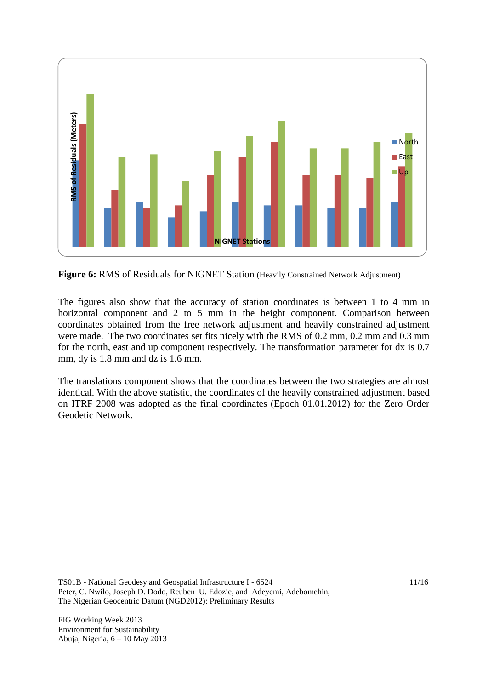

Figure 6: RMS of Residuals for NIGNET Station (Heavily Constrained Network Adjustment)

The figures also show that the accuracy of station coordinates is between 1 to 4 mm in horizontal component and 2 to 5 mm in the height component. Comparison between coordinates obtained from the free network adjustment and heavily constrained adjustment were made. The two coordinates set fits nicely with the RMS of 0.2 mm, 0.2 mm and 0.3 mm for the north, east and up component respectively. The transformation parameter for dx is 0.7 mm, dy is 1.8 mm and dz is 1.6 mm.

The translations component shows that the coordinates between the two strategies are almost identical. With the above statistic, the coordinates of the heavily constrained adjustment based on ITRF 2008 was adopted as the final coordinates (Epoch 01.01.2012) for the Zero Order

TS01B - National Geodesy and Geospatial Infrastructure I - 6524 Peter, C. Nwilo, Joseph D. Dodo, Reuben U. Edozie, and Adeyemi, Adebomehin, The Nigerian Geocentric Datum (NGD2012): Preliminary Results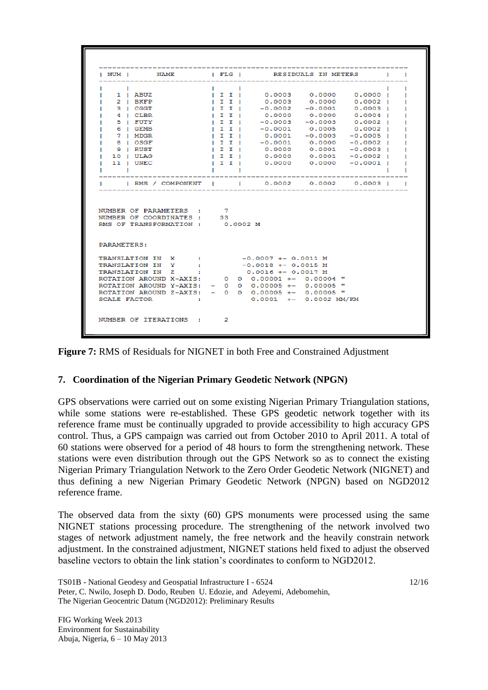|           |                    |                                                                                   |                |  |                |                       |                                                    | NUM       NAME          FLG           RESIDUALS IN METERS |  |
|-----------|--------------------|-----------------------------------------------------------------------------------|----------------|--|----------------|-----------------------|----------------------------------------------------|-----------------------------------------------------------|--|
| $\sim$ 1. |                    |                                                                                   |                |  |                |                       |                                                    |                                                           |  |
|           | 1   ABUZ           |                                                                                   |                |  |                |                       |                                                    | $  II  $ 0.0003 0.0000 0.0000                             |  |
|           | 2   BKFP           |                                                                                   |                |  |                |                       |                                                    | IIII 0.0003 0.0000 0.0002I                                |  |
|           | 3 I CGGT           |                                                                                   |                |  |                |                       |                                                    | I I   0.0002 -0.0001 0.0003                               |  |
|           | 4 I CLBR           |                                                                                   | $\blacksquare$ |  |                |                       |                                                    | $0.0000$ $0.0000$ $0.0004$                                |  |
|           | 5   FUTY           |                                                                                   | $\mathbf{I}$   |  |                |                       | $-0.0003 - 0.0003$                                 | 0.0002 1                                                  |  |
|           | 6 I GEMB           |                                                                                   | $\mathbf{I}$   |  |                |                       |                                                    | $-0.0001$ 0.0005 0.0002                                   |  |
|           | 7   MDGR           |                                                                                   |                |  | $\blacksquare$ |                       |                                                    | $0.0001 -0.0003 -0.0005$                                  |  |
|           | 8 I OSGF           |                                                                                   |                |  |                |                       |                                                    | I I   -0.0001 0.0000 -0.0002                              |  |
|           | I 9 I RUST         |                                                                                   | $\blacksquare$ |  |                |                       |                                                    | $0.0000$ $0.0001$ $-0.0003$                               |  |
|           | 10   ULAG          |                                                                                   | $\blacksquare$ |  |                | 0.0000                |                                                    | $0.0001 - 0.0002$  <br>$0.0000$ $0.0000$ $-0.0001$ I      |  |
|           | 11   UNEC          |                                                                                   |                |  | $\blacksquare$ |                       |                                                    |                                                           |  |
|           |                    |                                                                                   |                |  |                |                       |                                                    |                                                           |  |
|           |                    |                                                                                   |                |  |                |                       |                                                    | RMS / COMPONENT     0.0002 0.0002 0.0003                  |  |
|           |                    |                                                                                   |                |  |                |                       |                                                    |                                                           |  |
|           |                    | NUMBER OF PARAMETERS : 7<br>NUMBER OF COORDINATES : 33<br>RMS OF TRANSFORMATION : |                |  | 0.0002 M       |                       |                                                    |                                                           |  |
|           | <b>PARAMETERS:</b> |                                                                                   |                |  |                |                       |                                                    |                                                           |  |
|           |                    | TRANSLATION IN X : -0.0007 +- 0.0011 M                                            |                |  |                |                       |                                                    |                                                           |  |
|           |                    | TRANSLATION IN Y :                                                                |                |  |                | $-0.0018$ +- 0.0015 M |                                                    |                                                           |  |
|           |                    | TRANSLATION IN Z :                                                                |                |  |                |                       | $0.0016$ +- $0.0017$ M                             |                                                           |  |
|           |                    |                                                                                   |                |  |                |                       | ROTATION AROUND X-AXIS: 0 0 0.00001 +- 0.00004 "   |                                                           |  |
|           |                    |                                                                                   |                |  |                |                       | ROTATION AROUND Y-AXIS: - 0 0 0.00005 +- 0.00005 " |                                                           |  |
|           |                    |                                                                                   |                |  |                |                       | ROTATION AROUND Z-AXIS: - 0 0 0.00005 +- 0.00005 " |                                                           |  |
|           | SCALE FACTOR       | <b>Contract Contract Contract</b>                                                 |                |  |                |                       | $0.0001$ +- $0.0002$ MM/KM                         |                                                           |  |

**Figure 7:** RMS of Residuals for NIGNET in both Free and Constrained Adjustment

### **7. Coordination of the Nigerian Primary Geodetic Network (NPGN)**

GPS observations were carried out on some existing Nigerian Primary Triangulation stations, while some stations were re-established. These GPS geodetic network together with its reference frame must be continually upgraded to provide accessibility to high accuracy GPS control. Thus, a GPS campaign was carried out from October 2010 to April 2011. A total of 60 stations were observed for a period of 48 hours to form the strengthening network. These stations were even distribution through out the GPS Network so as to connect the existing Nigerian Primary Triangulation Network to the Zero Order Geodetic Network (NIGNET) and thus defining a new Nigerian Primary Geodetic Network (NPGN) based on NGD2012 reference frame.

The observed data from the sixty (60) GPS monuments were processed using the same NIGNET stations processing procedure. The strengthening of the network involved two stages of network adjustment namely, the free network and the heavily constrain network adjustment. In the constrained adjustment, NIGNET stations held fixed to adjust the observed baseline vectors to obtain the link station's coordinates to conform to NGD2012.

TS01B - National Geodesy and Geospatial Infrastructure I - 6524 Peter, C. Nwilo, Joseph D. Dodo, Reuben U. Edozie, and Adeyemi, Adebomehin, The Nigerian Geocentric Datum (NGD2012): Preliminary Results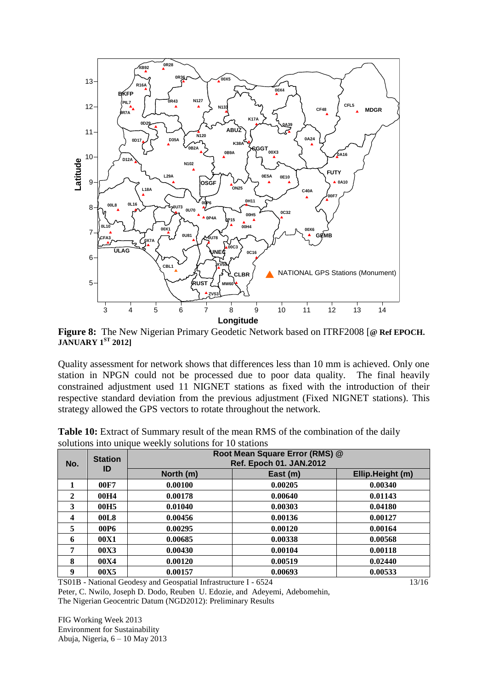

**Figure 8:** The New Nigerian Primary Geodetic Network based on ITRF2008 [**@ Ref EPOCH. JANUARY 1ST 2012]**

Quality assessment for network shows that differences less than 10 mm is achieved. Only one station in NPGN could not be processed due to poor data quality. The final heavily constrained adjustment used 11 NIGNET stations as fixed with the introduction of their respective standard deviation from the previous adjustment (Fixed NIGNET stations). This strategy allowed the GPS vectors to rotate throughout the network.

| No.          | <b>Station</b>   |           | Root Mean Square Error (RMS) @<br><b>Ref. Epoch 01. JAN.2012</b> |                  |  |  |  |  |
|--------------|------------------|-----------|------------------------------------------------------------------|------------------|--|--|--|--|
|              | ID               | North (m) | East (m)                                                         | Ellip.Height (m) |  |  |  |  |
| 1            | 00F7             | 0.00100   | 0.00205                                                          | 0.00340          |  |  |  |  |
| $\mathbf{2}$ | 00H4             | 0.00178   | 0.00640                                                          | 0.01143          |  |  |  |  |
| 3            | 00H <sub>5</sub> | 0.01040   | 0.00303                                                          | 0.04180          |  |  |  |  |
| 4            | 00L8             | 0.00456   | 0.00136                                                          | 0.00127          |  |  |  |  |
| 5            | 00P6             | 0.00295   | 0.00120                                                          | 0.00164          |  |  |  |  |
| 6            | 00X1             | 0.00685   | 0.00338                                                          | 0.00568          |  |  |  |  |
| 7            | 00X3             | 0.00430   | 0.00104                                                          | 0.00118          |  |  |  |  |
| 8            | 00X4             | 0.00120   | 0.00519                                                          | 0.02440          |  |  |  |  |
| 9            | 00X5             | 0.00157   | 0.00693                                                          | 0.00533          |  |  |  |  |

**Table 10:** Extract of Summary result of the mean RMS of the combination of the daily solutions into unique weekly solutions for 10 stations

TS01B - National Geodesy and Geospatial Infrastructure I - 6524 Peter, C. Nwilo, Joseph D. Dodo, Reuben U. Edozie, and Adeyemi, Adebomehin,

The Nigerian Geocentric Datum (NGD2012): Preliminary Results

FIG Working Week 2013 Environment for Sustainability Abuja, Nigeria, 6 – 10 May 2013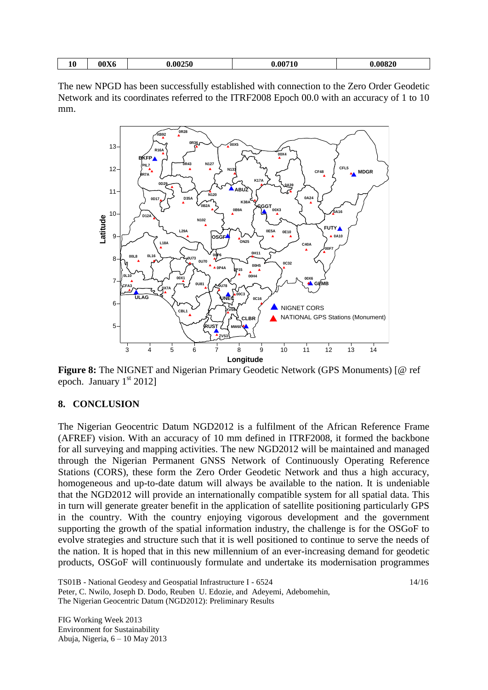| __ | $-$<br>$\sim$ $ -$<br>$\boldsymbol{\theta}$<br>10<br>- -<br>m<br>$\mathbf{u}$<br>эU<br>. . |
|----|--------------------------------------------------------------------------------------------|
|----|--------------------------------------------------------------------------------------------|

The new NPGD has been successfully established with connection to the Zero Order Geodetic Network and its coordinates referred to the ITRF2008 Epoch 00.0 with an accuracy of 1 to 10 mm.



**Figure 8:** The NIGNET and Nigerian Primary Geodetic Network (GPS Monuments) [@ ref epoch. January  $1<sup>st</sup> 2012$ ]

## **8. CONCLUSION**

The Nigerian Geocentric Datum NGD2012 is a fulfilment of the African Reference Frame (AFREF) vision. With an accuracy of 10 mm defined in ITRF2008, it formed the backbone for all surveying and mapping activities. The new NGD2012 will be maintained and managed through the Nigerian Permanent GNSS Network of Continuously Operating Reference Stations (CORS), these form the Zero Order Geodetic Network and thus a high accuracy, homogeneous and up-to-date datum will always be available to the nation. It is undeniable that the NGD2012 will provide an internationally compatible system for all spatial data. This in turn will generate greater benefit in the application of satellite positioning particularly GPS in the country. With the country enjoying vigorous development and the government supporting the growth of the spatial information industry, the challenge is for the OSGoF to evolve strategies and structure such that it is well positioned to continue to serve the needs of the nation. It is hoped that in this new millennium of an ever-increasing demand for geodetic products, OSGoF will continuously formulate and undertake its modernisation programmes

TS01B - National Geodesy and Geospatial Infrastructure I - 6524 Peter, C. Nwilo, Joseph D. Dodo, Reuben U. Edozie, and Adeyemi, Adebomehin, The Nigerian Geocentric Datum (NGD2012): Preliminary Results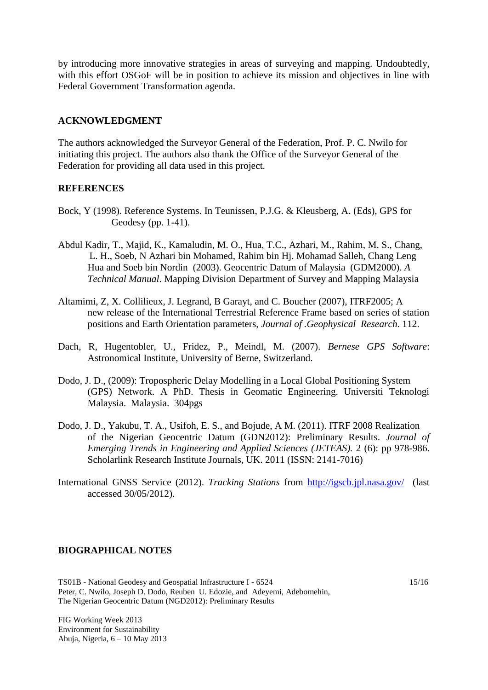by introducing more innovative strategies in areas of surveying and mapping. Undoubtedly, with this effort OSGoF will be in position to achieve its mission and objectives in line with Federal Government Transformation agenda.

#### **ACKNOWLEDGMENT**

The authors acknowledged the Surveyor General of the Federation, Prof. P. C. Nwilo for initiating this project. The authors also thank the Office of the Surveyor General of the Federation for providing all data used in this project.

#### **REFERENCES**

- Bock, Y (1998). Reference Systems. In Teunissen, P.J.G. & Kleusberg, A. (Eds), GPS for Geodesy (pp. 1-41).
- Abdul Kadir, T., Majid, K., Kamaludin, M. O., Hua, T.C., Azhari, M., Rahim, M. S., Chang, L. H., Soeb, N Azhari bin Mohamed, Rahim bin Hj. Mohamad Salleh, Chang Leng Hua and Soeb bin Nordin (2003). Geocentric Datum of Malaysia (GDM2000). *A Technical Manual*. Mapping Division Department of Survey and Mapping Malaysia
- Altamimi, Z, X. Collilieux, J. Legrand, B Garayt, and C. Boucher (2007), ITRF2005; A new release of the International Terrestrial Reference Frame based on series of station positions and Earth Orientation parameters, *Journal of .Geophysical Research*. 112.
- Dach, R, Hugentobler, U., Fridez, P., Meindl, M. (2007). *Bernese GPS Software*: Astronomical Institute, University of Berne, Switzerland.
- Dodo, J. D., (2009): Tropospheric Delay Modelling in a Local Global Positioning System (GPS) Network. A PhD. Thesis in Geomatic Engineering. Universiti Teknologi Malaysia. Malaysia. 304pgs
- Dodo, J. D., Yakubu, T. A., Usifoh, E. S., and Bojude, A M. (2011). ITRF 2008 Realization of the Nigerian Geocentric Datum (GDN2012): Preliminary Results. *Journal of Emerging Trends in Engineering and Applied Sciences (JETEAS).* 2 (6): pp 978-986. Scholarlink Research Institute Journals, UK. 2011 (ISSN: 2141-7016)
- International GNSS Service (2012). *Tracking Stations* from<http://igscb.jpl.nasa.gov/>(last accessed 30/05/2012).

#### **BIOGRAPHICAL NOTES**

TS01B - National Geodesy and Geospatial Infrastructure I - 6524 Peter, C. Nwilo, Joseph D. Dodo, Reuben U. Edozie, and Adeyemi, Adebomehin, The Nigerian Geocentric Datum (NGD2012): Preliminary Results